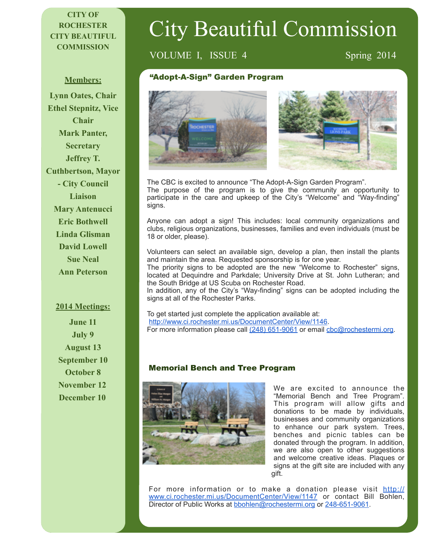### **CITY OF ROCHESTER CITY BEAUTIFUL COMMISSION**

# City Beautiful Commission

## VOLUME I, ISSUE 4 Spring 2014

#### **Members:**

**Lynn Oates, Chair Ethel Stepnitz, Vice Chair Mark Panter, Secretary Jeffrey T. Cuthbertson, Mayor - City Council Liaison Mary Antenucci Eric Bothwell Linda Glisman David Lowell Sue Neal Ann Peterson**

#### **2014 Meetings:**

**June 11 July 9 August 13 September 10 October 8 November 12 December 10** 

#### "Adopt-A-Sign" Garden Program





The CBC is excited to announce "The Adopt-A-Sign Garden Program". The purpose of the program is to give the community an opportunity to participate in the care and upkeep of the City's "Welcome" and "Way-finding" signs.

Anyone can adopt a sign! This includes: local community organizations and clubs, religious organizations, businesses, families and even individuals (must be 18 or older, please).

Volunteers can select an available sign, develop a plan, then install the plants and maintain the area. Requested sponsorship is for one year.

The priority signs to be adopted are the new "Welcome to Rochester" signs, located at Dequindre and Parkdale; University Drive at St. John Lutheran; and the South Bridge at US Scuba on Rochester Road.

In addition, any of the City's "Way-finding" signs can be adopted including the signs at all of the Rochester Parks.

To get started just complete the application available at: <http://www.ci.rochester.mi.us/DocumentCenter/View/1146>. For more information please call (248) 651-9061 or email [cbc@rochestermi.org](mailto:cbc@rochestermi.org).

#### Memorial Bench and Tree Program



We are excited to announce the "Memorial Bench and Tree Program". This program will allow gifts and donations to be made by individuals, businesses and community organizations to enhance our park system. Trees, benches and picnic tables can be donated through the program. In addition, we are also open to other suggestions and welcome creative ideas. Plaques or signs at the gift site are included with any gift.

For more information or to make a donation please visit http:// [www.ci.rochester.mi.us/DocumentCenter/View/1147 or contact Bill Bohlen,](http://www.ci.rochester.mi.us/DocumentCenter/View/1147)  Director of Public Works at [bbohlen@rochestermi.org](mailto:bbohlen@rochestermi.org) or 248-651-9061.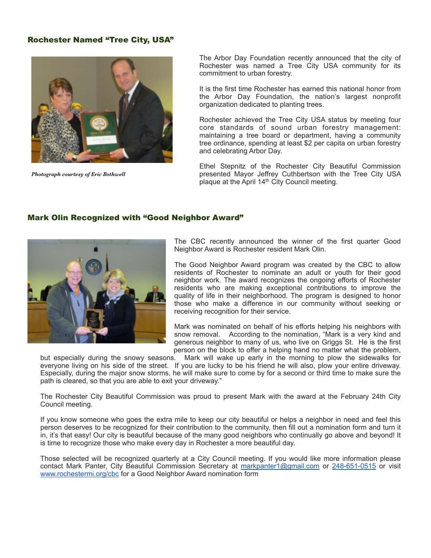#### Rochester Named "Tree City, USA"



*Photograph courtesy of Eric Bothwell*

The Arbor Day Foundation recently announced that the city of Rochester was named a Tree City USA community for its commitment to urban forestry.

It is the first time Rochester has earned this national honor from the Arbor Day Foundation, the nation's largest nonprofit organization dedicated to planting trees.

Rochester achieved the Tree City USA status by meeting four core standards of sound urban forestry management: maintaining a tree board or department, having a community tree ordinance, spending at least \$2 per capita on urban forestry and celebrating Arbor Day.

Ethel Stepnitz of the Rochester City Beautiful Commission presented Mayor Jeffrey Cuthbertson with the Tree City USA plaque at the April 14th City Council meeting.

#### Mark Olin Recognized with "Good Neighbor Award"



The CBC recently announced the winner of the first quarter Good Neighbor Award is Rochester resident Mark Olin.

The Good Neighbor Award program was created by the CBC to allow residents of Rochester to nominate an adult or youth for their good neighbor work. The award recognizes the ongoing efforts of Rochester residents who are making exceptional contributions to improve the quality of life in their neighborhood. The program is designed to honor those who make a difference in our community without seeking or receiving recognition for their service.

Mark was nominated on behalf of his efforts helping his neighbors with snow removal. According to the nomination, "Mark is a very kind and generous neighbor to many of us, who live on Griggs St. He is the first person on the block to offer a helping hand no matter what the problem,

but especially during the snowy seasons. Mark will wake up early in the morning to plow the sidewalks for everyone living on his side of the street. If you are lucky to be his friend he will also, plow your entire driveway. Especially, during the major snow storms, he will make sure to come by for a second or third time to make sure the path is cleared, so that you are able to exit your driveway."

The Rochester City Beautiful Commission was proud to present Mark with the award at the February 24th City Council meeting.

If you know someone who goes the extra mile to keep our city beautiful or helps a neighbor in need and feel this person deserves to be recognized for their contribution to the community, then fill out a nomination form and turn it in, it's that easy! Our city is beautiful because of the many good neighbors who continually go above and beyond! It is time to recognize those who make every day in Rochester a more beautiful day.

Those selected will be recognized quarterly at a City Council meeting. If you would like more information please contact Mark Panter, City Beautiful Commission Secretary at [markpanter1@gmail.com](mailto:markpanter1@gmail.com) or 248-651-0515 or visit [www.rochestermi.org/cbc](http://www.rochestermi.org/cbc) for a Good Neighbor Award nomination form